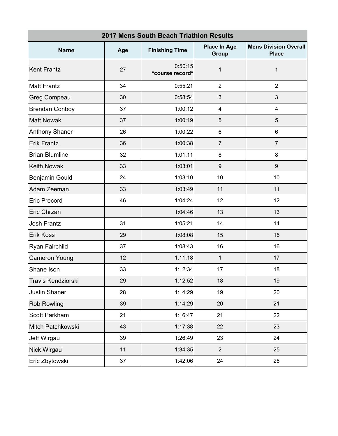| <b>2017 Mens South Beach Triathlon Results</b> |     |                                                       |                         |                                              |  |
|------------------------------------------------|-----|-------------------------------------------------------|-------------------------|----------------------------------------------|--|
| <b>Name</b>                                    | Age | <b>Place In Age</b><br><b>Finishing Time</b><br>Group |                         | <b>Mens Division Overall</b><br><b>Place</b> |  |
| <b>Kent Frantz</b>                             | 27  | 0:50:15<br>*course record*                            | 1                       | 1                                            |  |
| <b>Matt Frantz</b>                             | 34  | 0:55:21                                               | $\overline{2}$          | $\overline{2}$                               |  |
| <b>Greg Compeau</b>                            | 30  | 0:58:54                                               | 3                       | 3                                            |  |
| <b>Brendan Conboy</b>                          | 37  | 1:00:12                                               | $\overline{\mathbf{4}}$ | 4                                            |  |
| <b>Matt Nowak</b>                              | 37  | 1:00:19                                               | 5                       | 5                                            |  |
| <b>Anthony Shaner</b>                          | 26  | 1:00:22                                               | 6                       | 6                                            |  |
| <b>Erik Frantz</b>                             | 36  | 1:00:38                                               | $\overline{7}$          | $\overline{7}$                               |  |
| <b>Brian Blumline</b>                          | 32  | 1:01:11                                               | 8                       | 8                                            |  |
| <b>Keith Nowak</b>                             | 33  | 1:03:01                                               | 9                       | $9\,$                                        |  |
| Benjamin Gould                                 | 24  | 1:03:10                                               | 10                      | 10                                           |  |
| Adam Zeeman                                    | 33  | 1:03:49                                               | 11                      | 11                                           |  |
| <b>Eric Precord</b>                            | 46  | 1:04:24                                               | 12                      | 12                                           |  |
| Eric Chrzan                                    |     | 1:04:46                                               | 13                      | 13                                           |  |
| <b>Josh Frantz</b>                             | 31  | 1:05:21                                               | 14                      | 14                                           |  |
| Erik Koss                                      | 29  | 1:08:08                                               | 15                      | 15                                           |  |
| Ryan Fairchild                                 | 37  | 1:08:43                                               | 16                      | 16                                           |  |
| <b>Cameron Young</b>                           | 12  | 1:11:18                                               | 1                       | 17                                           |  |
| Shane Ison                                     | 33  | 1:12:34                                               | 17                      | 18                                           |  |
| Travis Kendziorski                             | 29  | 1:12:52                                               | 18                      | 19                                           |  |
| <b>Justin Shaner</b>                           | 28  | 1:14:29                                               | 19                      | 20                                           |  |
| <b>Rob Rowling</b>                             | 39  | 1:14:29                                               | 20                      | 21                                           |  |
| Scott Parkham                                  | 21  | 1:16:47                                               | 21                      | 22                                           |  |
| Mitch Patchkowski                              | 43  | 1:17:38                                               | 22                      | 23                                           |  |
| Jeff Wirgau                                    | 39  | 1:26:49                                               | 23                      | 24                                           |  |
| Nick Wirgau                                    | 11  | 1:34:35                                               | $\overline{2}$          | 25                                           |  |
| Eric Zbytowski                                 | 37  | 1:42:06                                               | 24                      | 26                                           |  |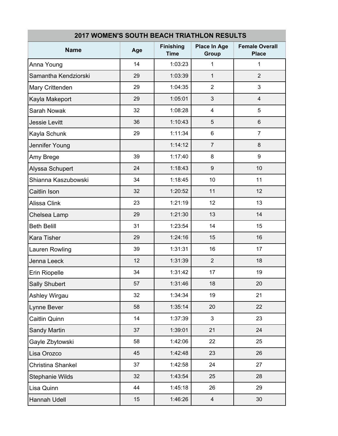| 2017 WOMEN'S SOUTH BEACH TRIATHLON RESULTS |     |                                 |                              |                                       |
|--------------------------------------------|-----|---------------------------------|------------------------------|---------------------------------------|
| <b>Name</b>                                | Age | <b>Finishing</b><br><b>Time</b> | <b>Place In Age</b><br>Group | <b>Female Overall</b><br><b>Place</b> |
| Anna Young                                 | 14  | 1:03:23                         | 1                            | 1                                     |
| Samantha Kendziorski                       | 29  | 1:03:39                         | $\mathbf{1}$                 | $\overline{2}$                        |
| Mary Crittenden                            | 29  | 1:04:35                         | $\overline{2}$               | 3                                     |
| Kayla Makeport                             | 29  | 1:05:01                         | 3                            | $\overline{\mathbf{4}}$               |
| Sarah Nowak                                | 32  | 1:08:28                         | 4                            | 5                                     |
| <b>Jessie Levitt</b>                       | 36  | 1:10:43                         | 5                            | $6\phantom{a}$                        |
| Kayla Schunk                               | 29  | 1:11:34                         | 6                            | $\overline{7}$                        |
| Jennifer Young                             |     | 1:14:12                         | $\overline{7}$               | 8                                     |
| Amy Brege                                  | 39  | 1:17:40                         | 8                            | 9                                     |
| Alyssa Schupert                            | 24  | 1:18:43                         | $9\,$                        | 10                                    |
| Shianna Kaszubowski                        | 34  | 1:18:45                         | 10                           | 11                                    |
| Caitlin Ison                               | 32  | 1:20:52                         | 11                           | 12                                    |
| Alissa Clink                               | 23  | 1:21:19                         | 12                           | 13                                    |
| Chelsea Lamp                               | 29  | 1:21:30                         | 13                           | 14                                    |
| <b>Beth Belill</b>                         | 31  | 1:23:54                         | 14                           | 15                                    |
| <b>Kara Tisher</b>                         | 29  | 1:24:16                         | 15                           | 16                                    |
| Lauren Rowling                             | 39  | 1:31:31                         | 16                           | 17                                    |
| Jenna Leeck                                | 12  | 1:31:39                         | $\overline{2}$               | 18                                    |
| Erin Riopelle                              | 34  | 1:31:42                         | 17                           | 19                                    |
| Sally Shubert                              | 57  | 1:31:46                         | 18                           | 20                                    |
| Ashley Wirgau                              | 32  | 1:34:34                         | 19                           | 21                                    |
| Lynne Bever                                | 58  | 1:35:14                         | 20                           | 22                                    |
| Caitlin Quinn                              | 14  | 1:37:39                         | 3                            | 23                                    |
| Sandy Martin                               | 37  | 1:39:01                         | 21                           | 24                                    |
| Gayle Zbytowski                            | 58  | 1:42:06                         | 22                           | 25                                    |
| Lisa Orozco                                | 45  | 1:42:48                         | 23                           | 26                                    |
| Christina Shankel                          | 37  | 1:42:58                         | 24                           | 27                                    |
| <b>Stephanie Wilds</b>                     | 32  | 1:43:54                         | 25                           | 28                                    |
| Lisa Quinn                                 | 44  | 1:45:18                         | 26                           | 29                                    |
| Hannah Udell                               | 15  | 1:46:26                         | $\overline{\mathbf{4}}$      | 30                                    |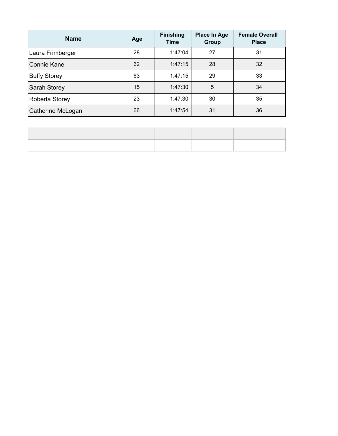| <b>Name</b>         | Age | <b>Finishing</b><br><b>Time</b> | <b>Place In Age</b><br><b>Group</b> | <b>Female Overall</b><br><b>Place</b> |
|---------------------|-----|---------------------------------|-------------------------------------|---------------------------------------|
| Laura Frimberger    | 28  | 1:47:04                         | 27                                  | 31                                    |
| <b>Connie Kane</b>  | 62  | 1:47:15                         | 28                                  | 32                                    |
| <b>Buffy Storey</b> | 63  | 1:47:15                         | 29                                  | 33                                    |
| Sarah Storey        | 15  | 1:47:30                         | 5                                   | 34                                    |
| Roberta Storey      | 23  | 1:47:30                         | 30                                  | 35                                    |
| Catherine McLogan   | 66  | 1:47:54                         | 31                                  | 36                                    |